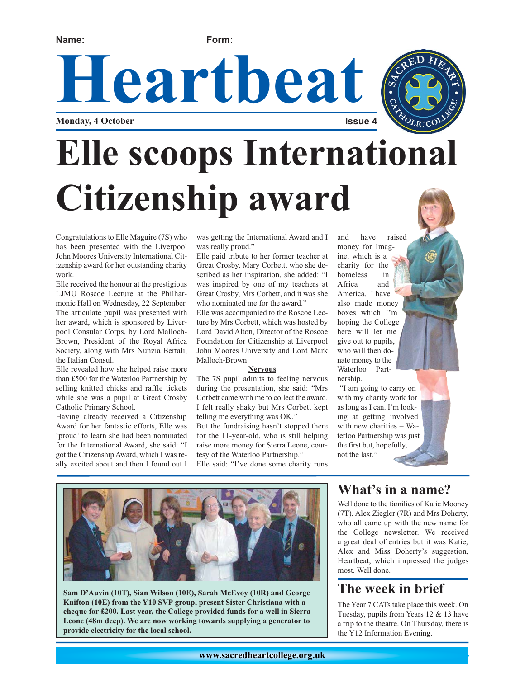**Name: Form:**

Heartbeat

**Monday, 4 October** 



# **Elle scoops International Citizenship award**

Congratulations to Elle Maguire (7S) who has been presented with the Liverpool John Moores University International Citizenship award for her outstanding charity work.

Elle received the honour at the prestigious LJMU Roscoe Lecture at the Philharmonic Hall on Wednesday, 22 September. The articulate pupil was presented with her award, which is sponsored by Liverpool Consular Corps, by Lord Malloch-Brown, President of the Royal Africa Society, along with Mrs Nunzia Bertali, the Italian Consul.

Elle revealed how she helped raise more than £500 for the Waterloo Partnership by selling knitted chicks and raffle tickets while she was a pupil at Great Crosby Catholic Primary School.

Having already received a Citizenship Award for her fantastic efforts, Elle was 'proud' to learn she had been nominated for the International Award, she said: "I got the Citizenship Award, which I was really excited about and then I found out I was getting the International Award and I was really proud."

Elle paid tribute to her former teacher at Great Crosby, Mary Corbett, who she described as her inspiration, she added: "I was inspired by one of my teachers at Great Crosby, Mrs Corbett, and it was she who nominated me for the award."

Elle was accompanied to the Roscoe Lecture by Mrs Corbett, which was hosted by Lord David Alton, Director of the Roscoe Foundation for Citizenship at Liverpool John Moores University and Lord Mark Malloch-Brown

#### **Nervous**

The 7S pupil admits to feeling nervous during the presentation, she said: "Mrs Corbett came with me to collect the award. I felt really shaky but Mrs Corbett kept telling me everything was OK." But the fundraising hasn't stopped there for the 11-year-old, who is still helping raise more money for Sierra Leone, cour-

tesy of the Waterloo Partnership." Elle said: "I've done some charity runs and have raised money for Imagine, which is a charity for the homeless in Africa and America. I have also made money boxes which I'm hoping the College here will let me give out to pupils, who will then donate money to the Waterloo Partnership.

"I am going to carry on with my charity work for as long as I can. I'm looking at getting involved with new charities – Waterloo Partnership was just the first but, hopefully, not the last."





#### **What's in a name?**

Well done to the families of Katie Mooney (7T), Alex Ziegler (7R) and Mrs Doherty, who all came up with the new name for the College newsletter. We received a great deal of entries but it was Katie, Alex and Miss Doherty's suggestion, Heartbeat, which impressed the judges most. Well done.

### **The week in brief**

The Year 7 CATs take place this week. On Tuesday, pupils from Years 12 & 13 have a trip to the theatre. On Thursday, there is the Y12 Information Evening.